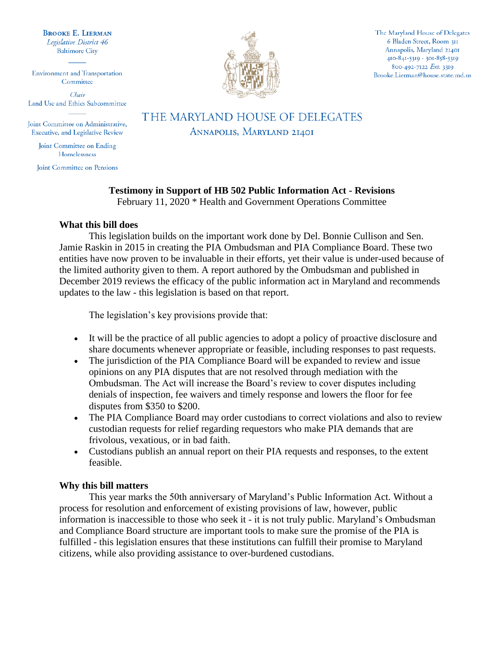**BROOKE E. LIERMAN** Legislative District 46 **Baltimore City** 

**Environment and Transportation** Committee

Chair Land Use and Ethics Subcommittee

Joint Committee on Administrative, Executive, and Legislative Review

> Joint Committee on Ending Homelessness

Joint Committee on Pensions



The Maryland House of Delegates 6 Bladen Street, Room 311 Annapolis, Maryland 21401 410-841-3319 · 301-858-3319 800-492-7122 Ext. 3319 Brooke.Lierman@house.state.md.us

THE MARYLAND HOUSE OF DELEGATES ANNAPOLIS, MARYLAND 21401

# **Testimony in Support of HB 502 Public Information Act - Revisions**

February 11, 2020 \* Health and Government Operations Committee

### **What this bill does**

This legislation builds on the important work done by Del. Bonnie Cullison and Sen. Jamie Raskin in 2015 in creating the PIA Ombudsman and PIA Compliance Board. These two entities have now proven to be invaluable in their efforts, yet their value is under-used because of the limited authority given to them. A report authored by the Ombudsman and published in December 2019 reviews the efficacy of the public information act in Maryland and recommends updates to the law - this legislation is based on that report.

The legislation's key provisions provide that:

- It will be the practice of all public agencies to adopt a policy of proactive disclosure and share documents whenever appropriate or feasible, including responses to past requests.
- The jurisdiction of the PIA Compliance Board will be expanded to review and issue opinions on any PIA disputes that are not resolved through mediation with the Ombudsman. The Act will increase the Board's review to cover disputes including denials of inspection, fee waivers and timely response and lowers the floor for fee disputes from \$350 to \$200.
- The PIA Compliance Board may order custodians to correct violations and also to review custodian requests for relief regarding requestors who make PIA demands that are frivolous, vexatious, or in bad faith.
- Custodians publish an annual report on their PIA requests and responses, to the extent feasible.

### **Why this bill matters**

This year marks the 50th anniversary of Maryland's Public Information Act. Without a process for resolution and enforcement of existing provisions of law, however, public information is inaccessible to those who seek it - it is not truly public. Maryland's Ombudsman and Compliance Board structure are important tools to make sure the promise of the PIA is fulfilled - this legislation ensures that these institutions can fulfill their promise to Maryland citizens, while also providing assistance to over-burdened custodians.